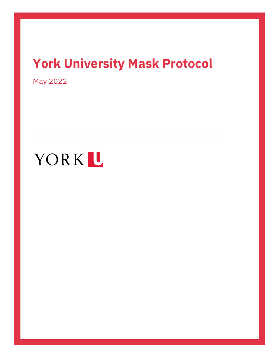## **York University Mask Protocol**

May 2022

# YORKL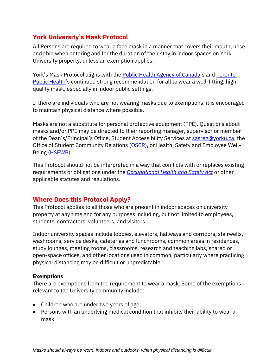### **York University's Mask Protocol**

All Persons are required to wear a face mask in a manner that covers their mouth, nose and chin when entering and for the duration of their stay in indoor spaces on York University property, unless an exemption applies.

York's Mask Protocol aligns with the **Public Health Agency of Canada's and Toronto** [Public Health](https://www.toronto.ca/wp-content/uploads/2020/08/8d95-COVID-19-Guidance-for-Post-Secondary-Institutions.pdf)'s continued strong recommendation for all to wear a well-fitting, high quality mask, especially in indoor public settings.

If there are individuals who are not wearing masks due to exemptions, it is encouraged to maintain physical distance where possible.

Masks are not a substitute for personal protective equipment (PPE). Questions about masks and/or PPE may be directed to their reporting manager, supervisor or member of the Dean's/Principal's Office, Student Accessibility Services at [sasreg@yorku.ca,](mailto:sasreg@yorku.ca) the Office of Student Community Relations [\(OSCR\)](mailto:oscr@yorku.ca), or Health, Safety and Employee Well-Being [\(HSEWB\)](mailto:hsewb@yorku.ca).

This Protocol should not be interpreted in a way that conflicts with or replaces existing requirements or obligations under the *[Occupational Health and Safety Act](https://www.ontario.ca/laws/statute/90o01)* or other applicable statutes and regulations.

#### **Where Does this Protocol Apply?**

This Protocol applies to all those who are present in indoor spaces on university property at any time and for any purposes including, but not limited to employees, students, contractors, volunteers, and visitors.

Indoor university spaces include lobbies, elevators, hallways and corridors, stairwells, washrooms, service desks, cafeterias and lunchrooms, common areas in residences, study lounges, meeting rooms, classrooms, research and teaching labs, shared or open-space offices, and other locations used in common, particularly where practicing physical distancing may be difficult or unpredictable.

#### **Exemptions**

There are exemptions from the requirement to wear a mask. Some of the exemptions relevant to the University community include:

- Children who are under two years of age;
- Persons with an underlying medical condition that inhibits their ability to wear a mask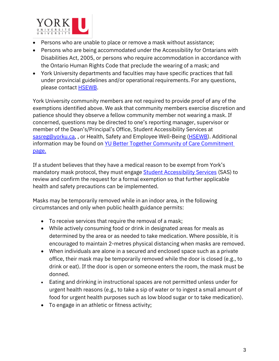

- Persons who are unable to place or remove a mask without assistance;
- Persons who are being accommodated under the Accessibility for Ontarians with Disabilities Act, 2005, or persons who require accommodation in accordance with the Ontario Human Rights Code that preclude the wearing of a mask; and
- York University departments and faculties may have specific practices that fall under provincial guidelines and/or operational requirements. For any questions, please contact **HSEWB**.

York University community members are not required to provide proof of any of the exemptions identified above. We ask that community members exercise discretion and patience should they observe a fellow community member not wearing a mask. If concerned, questions may be directed to one's reporting manager, supervisor or member of the Dean's/Principal's Office, Student Accessibility Services at [sasreg@yorku.ca,](mailto:sasreg@yorku.ca) , or Health, Safety and Employee Well-Being [\(HSEWB\)](mailto:hsewb@yorku.ca). Additional information may be found on [YU Better Together Community of Care Commitment](https://www.yorku.ca/bettertogether/creating-a-community-of-care/)  [page.](https://www.yorku.ca/bettertogether/creating-a-community-of-care/)

If a student believes that they have a medical reason to be exempt from York's mandatory mask protocol, they must engage **[Student Accessibility Services](https://accessibility.students.yorku.ca/)** (SAS) to review and confirm the request for a formal exemption so that further applicable health and safety precautions can be implemented.

Masks may be temporarily removed while in an indoor area, in the following circumstances and only when public health guidance permits:

- To receive services that require the removal of a mask;
- While actively consuming food or drink in designated areas for meals as determined by the area or as needed to take medication. Where possible, it is encouraged to maintain 2-metres physical distancing when masks are removed.
- When individuals are alone in a secured and enclosed space such as a private office, their mask may be temporarily removed while the door is closed (e.g., to drink or eat). If the door is open or someone enters the room, the mask must be donned.
- Eating and drinking in instructional spaces are not permitted unless under for urgent health reasons (e.g., to take a sip of water or to ingest a small amount of food for urgent health purposes such as low blood sugar or to take medication).
- To engage in an athletic or fitness activity;